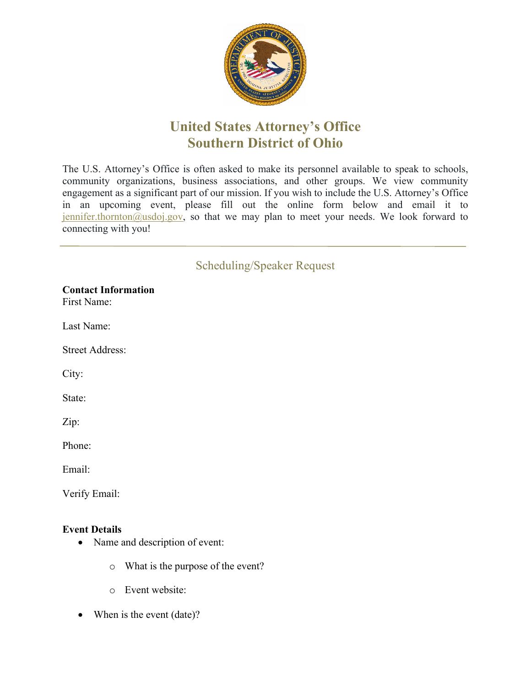

## **United States Attorney's Office Southern District of Ohio**

The U.S. Attorney's Office is often asked to make its personnel available to speak to schools, community organizations, business associations, and other groups. We view community engagement as a significant part of our mission. If you wish to include the U.S. Attorney's Office in an upcoming event, please fill out the online form below and email it to  $j$ ennifer.thornton@usdoj.gov, so that we may plan to meet your needs. We look forward to connecting with you!

## Scheduling/Speaker Request

**Contact Information**  First Name:

Last Name:

Street Address:

City:

State:

Zip:

Phone:

Email:

Verify Email:

## **Event Details**

- Name and description of event:
	- o What is the purpose of the event?
	- o Event website:
- When is the event (date)?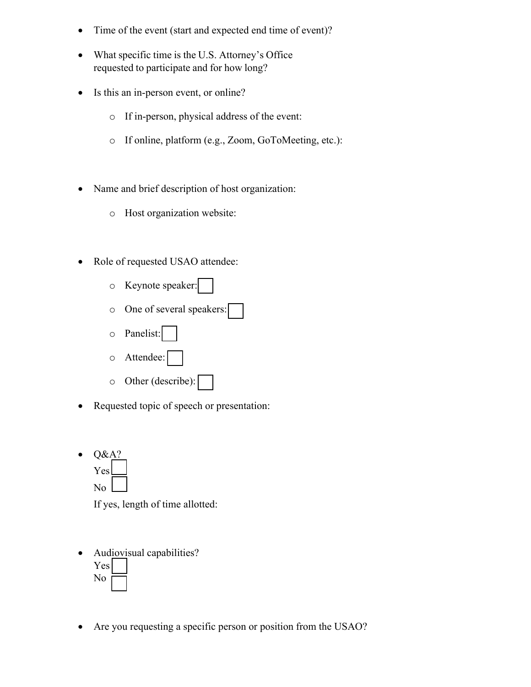- Time of the event (start and expected end time of event)?
- What specific time is the U.S. Attorney's Office requested to participate and for how long?
- Is this an in-person event, or online?
	- o If in-person, physical address of the event:
	- o If online, platform (e.g., Zoom, GoToMeeting, etc.):
- Name and brief description of host organization:
	- o Host organization website:
- Role of requested USAO attendee:
	- o Keynote speaker:
	- o One of several speakers:
	- o Panelist:
	- o Attendee:
	- o Other (describe):
- Requested topic of speech or presentation:
- $\bullet$  Q&A? Yes No

If yes, length of time allotted:

- Audiovisual capabilities? Yes No
- Are you requesting a specific person or position from the USAO?